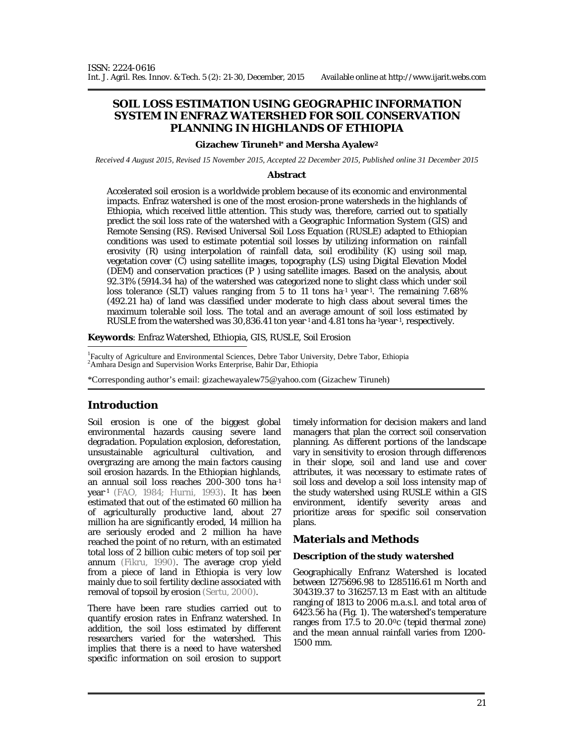# **SOIL LOSS ESTIMATION USING GEOGRAPHIC INFORMATION SYSTEM IN ENFRAZ WATERSHED FOR SOIL CONSERVATION PLANNING IN HIGHLANDS OF ETHIOPIA**

#### **Gizachew Tiruneh1\* and Mersha Ayalew<sup>2</sup>**

*Received 4 August 2015, Revised 15 November 2015, Accepted 22 December 2015, Published online 31 December 2015* 

#### **Abstract**

Accelerated soil erosion is a worldwide problem because of its economic and environmental impacts. Enfraz watershed is one of the most erosion-prone watersheds in the highlands of Ethiopia, which received little attention. This study was, therefore, carried out to spatially predict the soil loss rate of the watershed with a Geographic Information System (GIS) and Remote Sensing (RS). Revised Universal Soil Loss Equation (RUSLE) adapted to Ethiopian conditions was used to estimate potential soil losses by utilizing information on rainfall erosivity (R) using interpolation of rainfall data, soil erodibility (K) using soil map, vegetation cover (C) using satellite images, topography (LS) using Digital Elevation Model (DEM) and conservation practices (P ) using satellite images. Based on the analysis, about 92.31% (5914.34 ha) of the watershed was categorized none to slight class which under soil loss tolerance (SLT) values ranging from 5 to 11 tons ha-1 year-1. The remaining 7.68% (492.21 ha) of land was classified under moderate to high class about several times the maximum tolerable soil loss. The total and an average amount of soil loss estimated by RUSLE from the watershed was 30,836.41 ton year-1 and 4.81 tons ha-1year-1 , respectively.

**Keywords**: Enfraz Watershed, Ethiopia, GIS, RUSLE, Soil Erosion

<sup>1</sup>Faculty of Agriculture and Environmental Sciences, Debre Tabor University, Debre Tabor, Ethiopia <sup>2</sup>Amhara Design and Supervision Works Enterprise, Bahir Dar, Ethiopia

\*Corresponding author's email: gizachewayalew75@yahoo.com (Gizachew Tiruneh)

# **Introduction**

Soil erosion is one of the biggest global environmental hazards causing severe land degradation. Population explosion, deforestation, unsustainable agricultural cultivation, and overgrazing are among the main factors causing soil erosion hazards. In the Ethiopian highlands, an annual soil loss reaches 200-300 tons ha-1 year-1 (FAO, 1984; Hurni, 1993). It has been estimated that out of the estimated 60 million ha of agriculturally productive land, about 27 million ha are significantly eroded, 14 million ha are seriously eroded and 2 million ha have reached the point of no return, with an estimated total loss of 2 billion cubic meters of top soil per annum (Fikru, 1990). The average crop yield from a piece of land in Ethiopia is very low mainly due to soil fertility decline associated with removal of topsoil by erosion (Sertu, 2000).

There have been rare studies carried out to quantify erosion rates in Enfranz watershed. In addition, the soil loss estimated by different researchers varied for the watershed. This implies that there is a need to have watershed specific information on soil erosion to support timely information for decision makers and land managers that plan the correct soil conservation planning. As different portions of the landscape vary in sensitivity to erosion through differences in their slope, soil and land use and cover attributes, it was necessary to estimate rates of soil loss and develop a soil loss intensity map of the study watershed using RUSLE within a GIS environment, identify severity areas and prioritize areas for specific soil conservation plans.

## **Materials and Methods**

### *Description of the study watershed*

Geographically Enfranz Watershed is located between 1275696.98 to 1285116.61 m North and 304319.37 to 316257.13 m East with an altitude ranging of 1813 to 2006 m.a.s.l. and total area of 6423.56 ha (Fig. 1). The watershed's temperature ranges from 17.5 to 20.00c (tepid thermal zone) and the mean annual rainfall varies from 1200- 1500 mm.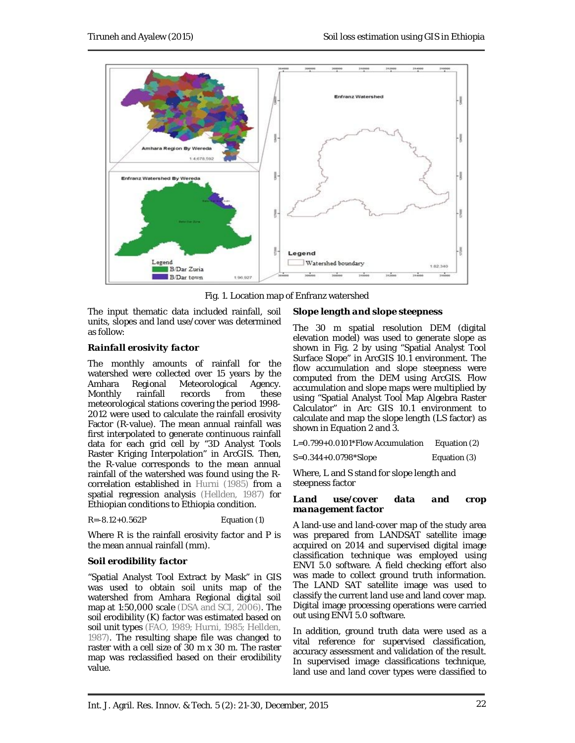

Fig. 1. Location map of Enfranz watershed

The input thematic data included rainfall, soil units, slopes and land use/cover was determined as follow:

## *Rainfall erosivity factor*

The monthly amounts of rainfall for the watershed were collected over 15 years by the<br>Amhara Regional Meteorological Agency. Amhara Regional Meteorological Monthly rainfall records from these meteorological stations covering the period 1998- 2012 were used to calculate the rainfall erosivity Factor (R-value). The mean annual rainfall was first interpolated to generate continuous rainfall data for each grid cell by "3D Analyst Tools Raster Kriging Interpolation" in ArcGIS. Then, the R-value corresponds to the mean annual rainfall of the watershed was found using the Rcorrelation established in Hurni (1985) from a spatial regression analysis (Hellden, 1987) for Ethiopian conditions to Ethiopia condition.

R=-8.12+0.562P Equation (1)

Where R is the rainfall erosivity factor and P is the mean annual rainfall (mm).

## *Soil erodibility factor*

"Spatial Analyst Tool Extract by Mask" in GIS was used to obtain soil units map of the watershed from Amhara Regional digital soil map at 1:50,000 scale (DSA and SCI, 2006). The soil erodibility (K) factor was estimated based on soil unit types (FAO, 1989; Hurni, 1985; Hellden, 1987). The resulting shape file was changed to raster with a cell size of 30 m x 30 m. The raster map was reclassified based on their erodibility value.

### *Slope length and slope steepness*

The 30 m spatial resolution DEM (digital elevation model) was used to generate slope as shown in Fig. 2 by using "Spatial Analyst Tool Surface Slope" in ArcGIS 10.1 environment. The flow accumulation and slope steepness were computed from the DEM using ArcGIS. Flow accumulation and slope maps were multiplied by using "Spatial Analyst Tool Map Algebra Raster Calculator" in Arc GIS 10.1 environment to calculate and map the slope length (LS factor) as shown in Equation 2 and 3.

L=0.799+0.0101\*Flow Accumulation Equation (2)

S=0.344+0.0798\*Slope Equation (3)

Where, L and S stand for slope length and steepness factor

#### *Land use/cover data and crop management factor*

A land-use and land-cover map of the study area was prepared from LANDSAT satellite image acquired on 2014 and supervised digital image classification technique was employed using ENVI 5.0 software. A field checking effort also was made to collect ground truth information. The LAND SAT satellite image was used to classify the current land use and land cover map. Digital image processing operations were carried out using ENVI 5.0 software.

In addition, ground truth data were used as a vital reference for supervised classification, accuracy assessment and validation of the result. In supervised image classifications technique, land use and land cover types were classified to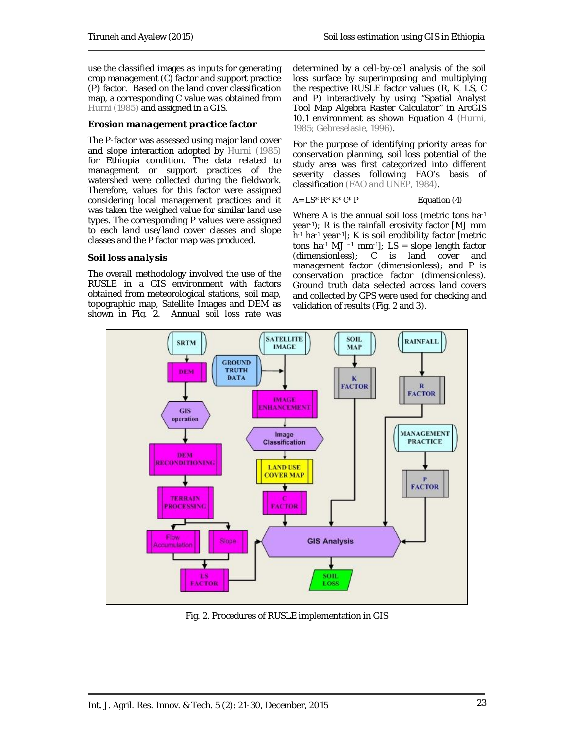use the classified images as inputs for generating crop management (C) factor and support practice (P) factor. Based on the land cover classification map, a corresponding C value was obtained from Hurni (1985) and assigned in a GIS.

## *Erosion management practice factor*

The P-factor was assessed using major land cover and slope interaction adopted by Hurni (1985) for Ethiopia condition. The data related to management or support practices of the watershed were collected during the fieldwork. Therefore, values for this factor were assigned considering local management practices and it was taken the weighed value for similar land use types. The corresponding P values were assigned to each land use/land cover classes and slope classes and the P factor map was produced.

## *Soil loss analysis*

The overall methodology involved the use of the RUSLE in a GIS environment with factors obtained from meteorological stations, soil map, topographic map, Satellite Images and DEM as shown in Fig. 2. Annual soil loss rate was determined by a cell-by-cell analysis of the soil loss surface by superimposing and multiplying the respective RUSLE factor values (R, K, LS, C and P) interactively by using "Spatial Analyst Tool Map Algebra Raster Calculator" in ArcGIS 10.1 environment as shown Equation 4 (Hurni, 1985; Gebreselasie, 1996).

For the purpose of identifying priority areas for conservation planning, soil loss potential of the study area was first categorized into different severity classes following FAO's basis of classification (FAO and UNEP, 1984).

### $A = LS^* R^* K^* C^* P$  Equation (4)

Where A is the annual soil loss (metric tons ha-1 year-1); R is the rainfall erosivity factor [MJ mm h-1 ha-1 year-1]; K is soil erodibility factor [metric tons ha-1 MJ -1 mm-1];  $LS = slope length factor$ (dimensionless); C is land cover and management factor (dimensionless); and P is conservation practice factor (dimensionless). Ground truth data selected across land covers and collected by GPS were used for checking and validation of results (Fig. 2 and 3).



Fig. 2. Procedures of RUSLE implementation in GIS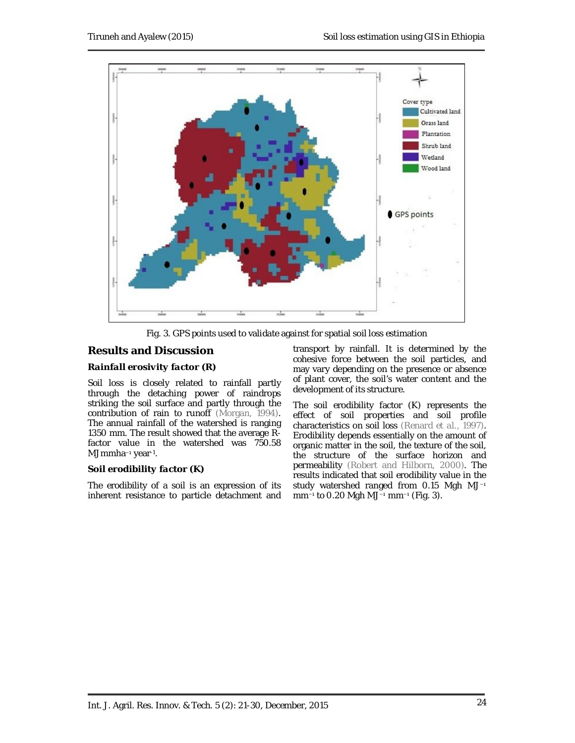

Fig. 3. GPS points used to validate against for spatial soil loss estimation

# **Results and Discussion**

## *Rainfall erosivity factor (R)*

Soil loss is closely related to rainfall partly through the detaching power of raindrops striking the soil surface and partly through the contribution of rain to runoff (Morgan, 1994). The annual rainfall of the watershed is ranging 1350 mm. The result showed that the average Rfactor value in the watershed was 750.58 MJmmha−1 year-1 .

## *Soil erodibility factor (K)*

The erodibility of a soil is an expression of its inherent resistance to particle detachment and transport by rainfall. It is determined by the cohesive force between the soil particles, and may vary depending on the presence or absence of plant cover, the soil's water content and the development of its structure.

The soil erodibility factor (K) represents the effect of soil properties and soil profile characteristics on soil loss (Renard *et al.*, 1997). Erodibility depends essentially on the amount of organic matter in the soil, the texture of the soil, the structure of the surface horizon and permeability (Robert and Hilborn, 2000). The results indicated that soil erodibility value in the study watershed ranged from 0.15 Mgh MJ<sup>-1</sup> mm−1 to 0.20 Mgh MJ−1 mm−1 (Fig. 3).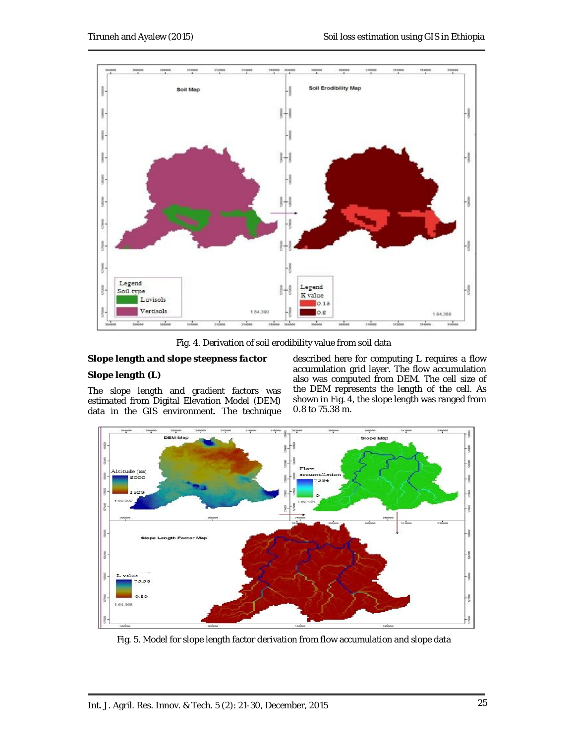

Fig. 4. Derivation of soil erodibility value from soil data

## *Slope length and slope steepness factor*

# *Slope length (L)*

The slope length and gradient factors was estimated from Digital Elevation Model (DEM) data in the GIS environment. The technique described here for computing L requires a flow accumulation grid layer. The flow accumulation also was computed from DEM. The cell size of the DEM represents the length of the cell. As shown in Fig. 4, the slope length was ranged from 0.8 to 75.38 m.



Fig. 5. Model for slope length factor derivation from flow accumulation and slope data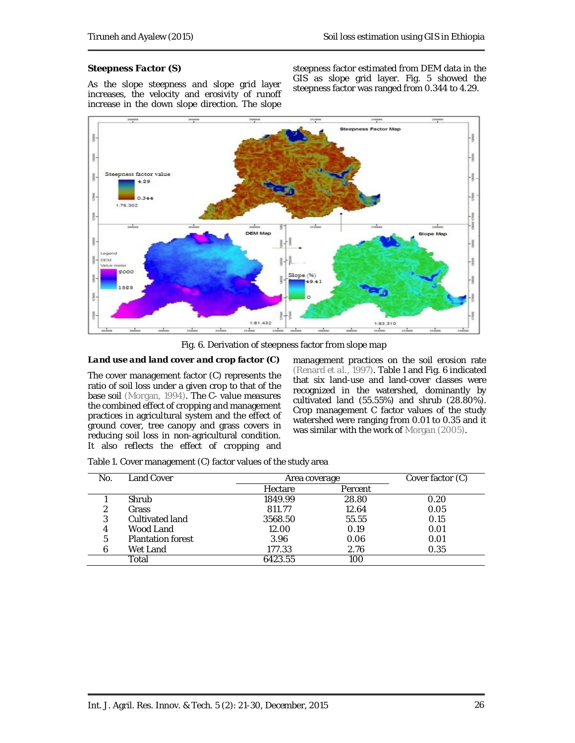### *Steepness Factor (S)*

As the slope steepness and slope grid layer increases, the velocity and erosivity of runoff increase in the down slope direction. The slope steepness factor estimated from DEM data in the GIS as slope grid layer. Fig. 5 showed the steepness factor was ranged from 0.344 to 4.29.



Fig. 6. Derivation of steepness factor from slope map

### *Land use and land cover and crop factor (C)*

The cover management factor (C) represents the ratio of soil loss under a given crop to that of the base soil (Morgan, 1994). The C- value measures the combined effect of cropping and management practices in agricultural system and the effect of ground cover, tree canopy and grass covers in reducing soil loss in non-agricultural condition. It also reflects the effect of cropping and

management practices on the soil erosion rate (Renard *et al.*, 1997). Table 1 and Fig. 6 indicated that six land-use and land-cover classes were recognized in the watershed, dominantly by cultivated land (55.55%) and shrub (28.80%). Crop management C factor values of the study watershed were ranging from 0.01 to 0.35 and it was similar with the work of Morgan (2005).

| Table 1. Cover management (C) factor values of the study area |
|---------------------------------------------------------------|
|                                                               |

| No. | Land Cover               | Area coverage |         | Cover factor (C) |
|-----|--------------------------|---------------|---------|------------------|
|     |                          | Hectare       | Percent |                  |
|     | Shrub                    | 1849.99       | 28.80   | 0.20             |
| າ   | Grass                    | 811.77        | 12.64   | 0.05             |
| 3   | Cultivated land          | 3568.50       | 55.55   | 0.15             |
| 4   | Wood Land                | 12.00         | 0.19    | 0.01             |
| 5   | <b>Plantation forest</b> | 3.96          | 0.06    | 0.01             |
| h   | Wet Land                 | 177.33        | 2.76    | 0.35             |
|     | Total                    | 6423.55       | 100     |                  |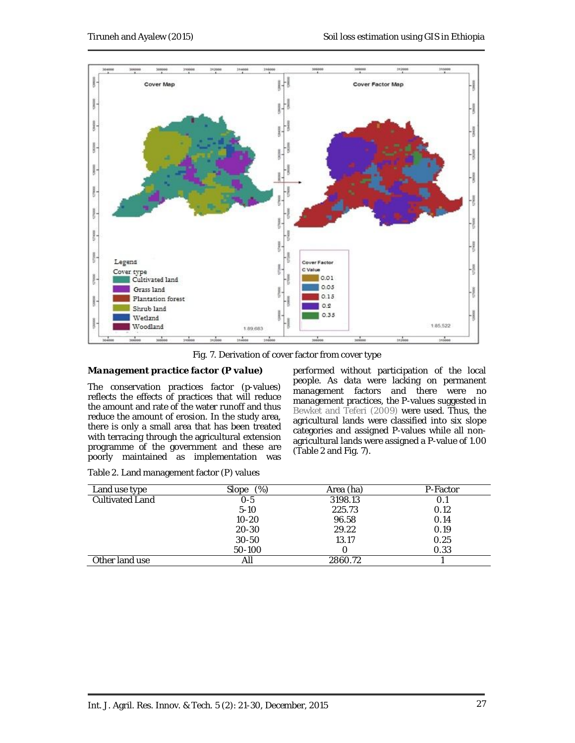

Fig. 7. Derivation of cover factor from cover type

### *Management practice factor (P value)*

The conservation practices factor (p-values) reflects the effects of practices that will reduce the amount and rate of the water runoff and thus reduce the amount of erosion. In the study area, there is only a small area that has been treated with terracing through the agricultural extension programme of the government and these are poorly maintained as implementation was

performed without participation of the local people. As data were lacking on permanent management factors and there were no management practices, the P-values suggested in Bewket and Teferi (2009) were used. Thus, the agricultural lands were classified into six slope categories and assigned P-values while all nonagricultural lands were assigned a P-value of 1.00 (Table 2 and Fig. 7).

| Land use type          | $(\%)$<br>Slope | Area (ha) | P-Factor |
|------------------------|-----------------|-----------|----------|
| <b>Cultivated Land</b> | 0-5             | 3198.13   | 0.1      |
|                        | $5-10$          | 225.73    | 0.12     |
|                        | $10 - 20$       | 96.58     | 0.14     |
|                        | 20-30           | 29.22     | 0.19     |
|                        | $30 - 50$       | 13.17     | 0.25     |
|                        | 50-100          |           | 0.33     |
| Other land use         | All             | 2860.72   |          |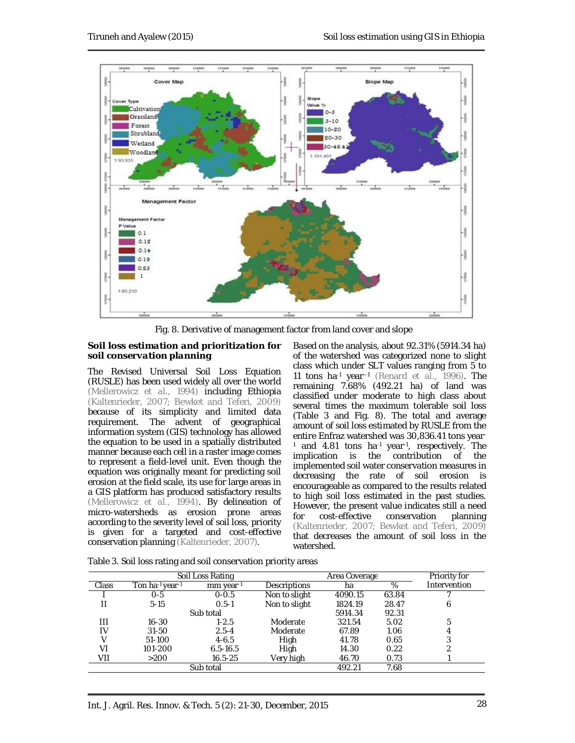

Fig. 8. Derivative of management factor from land cover and slope

### *Soil loss estimation and prioritization for soil conservation planning*

The Revised Universal Soil Loss Equation (RUSLE) has been used widely all over the world (Mellerowicz *et al.,* 1994) including Ethiopia (Kaltenrieder, 2007; Bewket and Teferi, 2009) because of its simplicity and limited data requirement. The advent of geographical information system (GIS) technology has allowed the equation to be used in a spatially distributed manner because each cell in a raster image comes to represent a field-level unit. Even though the equation was originally meant for predicting soil erosion at the field scale, its use for large areas in a GIS platform has produced satisfactory results (Mellerowicz *et al.*, 1994). By delineation of micro-watersheds as erosion prone areas according to the severity level of soil loss, priority is given for a targeted and cost-effective conservation planning (Kaltenrieder, 2007).

Based on the analysis, about 92.31% (5914.34 ha) of the watershed was categorized none to slight class which under SLT values ranging from 5 to 11 tons ha-1 year--1 (Renard *et al.,* 1996). The remaining 7.68% (492.21 ha) of land was classified under moderate to high class about several times the maximum tolerable soil loss (Table 3 and Fig. 8). The total and average amount of soil loss estimated by RUSLE from the entire Enfraz watershed was 30,836.41 tons year-<sup>1</sup> and 4.81 tons ha-1 year-1 , respectively. The implication is the contribution of the implemented soil water conservation measures in decreasing the rate of soil erosion is encourageable as compared to the results related to high soil loss estimated in the past studies. However, the present value indicates still a need<br>for cost-effective conservation planning for cost-effective conservation (Kaltenrieder, 2007; Bewket and Teferi, 2009) that decreases the amount of soil loss in the watershed.

| Soil Loss Rating<br>Area Coverage |                 |              | Priority for  |         |       |              |
|-----------------------------------|-----------------|--------------|---------------|---------|-------|--------------|
| <b>Class</b>                      | Ton ha-1 year-1 | mm year-1    | Descriptions  | ha      | %     | Intervention |
|                                   | $O - 5$         | $0 - 0.5$    | Non to slight | 4090.15 | 63.84 |              |
| П                                 | $5-15$          | $0.5 - 1$    | Non to slight | 1824.19 | 28.47 | 6            |
|                                   |                 | Sub total    |               | 5914.34 | 92.31 |              |
| Ш                                 | 16-30           | $1 - 2.5$    | Moderate      | 321.54  | 5.02  | 5            |
| IV                                | $31 - 50$       | $2.5 - 4$    | Moderate      | 67.89   | 1.06  | 4            |
| v                                 | 51-100          | $4 - 6.5$    | High          | 41.78   | 0.65  | 3            |
| V١                                | 101-200         | $6.5 - 16.5$ | High          | 14.30   | 0.22  | 2            |
| VII                               | >200            | 16.5-25      | Very high     | 46.70   | 0.73  |              |
|                                   |                 | Sub total    |               | 492.21  | 7.68  |              |

Table 3. Soil loss rating and soil conservation priority areas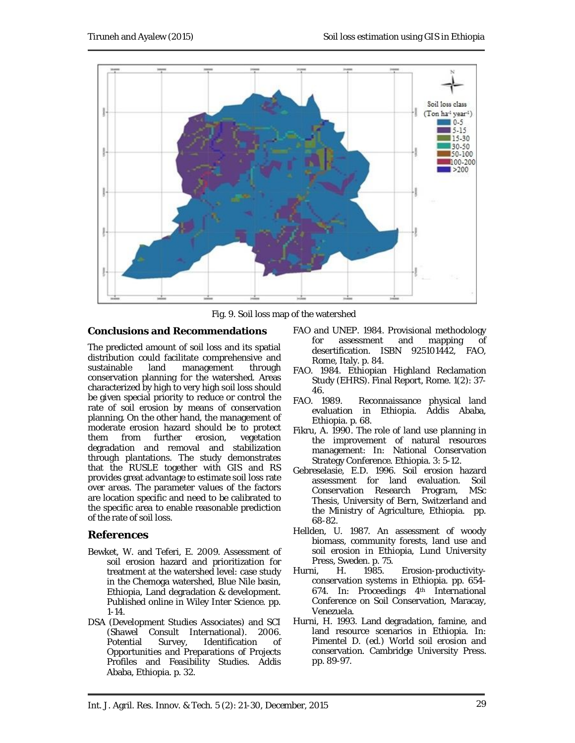

Fig. 9. Soil loss map of the watershed

## **Conclusions and Recommendations**

The predicted amount of soil loss and its spatial distribution could facilitate comprehensive and<br>sustainable land management through management through conservation planning for the watershed. Areas characterized by high to very high soil loss should be given special priority to reduce or control the rate of soil erosion by means of conservation planning. On the other hand, the management of moderate erosion hazard should be to protect them from further erosion, vegetation degradation and removal and stabilization through plantations. The study demonstrates that the RUSLE together with GIS and RS provides great advantage to estimate soil loss rate over areas. The parameter values of the factors are location specific and need to be calibrated to the specific area to enable reasonable prediction of the rate of soil loss.

## **References**

- Bewket, W. and Teferi, E. 2009. Assessment of soil erosion hazard and prioritization for treatment at the watershed level: case study in the Chemoga watershed, Blue Nile basin, Ethiopia, Land degradation & development. Published online in Wiley Inter Science. pp. 1-14.
- DSA (Development Studies Associates) and SCI (Shawel Consult International). 2006. Potential Survey, Identification of Opportunities and Preparations of Projects Profiles and Feasibility Studies. Addis Ababa, Ethiopia. p. 32.
- FAO and UNEP. 1984. Provisional methodology for assessment and mapping of desertification. ISBN 925101442, FAO, Rome, Italy. p. 84.
- FAO. 1984. Ethiopian Highland Reclamation Study (EHRS). Final Report, Rome. 1(2): 37- 46.
- FAO. 1989. Reconnaissance physical land evaluation in Ethiopia. Addis Ababa, Ethiopia. p. 68.
- Fikru, A. 1990. The role of land use planning in the improvement of natural resources management: *In:* National Conservation Strategy Conference. Ethiopia. 3: 5-12.
- Gebreselasie, E.D. 1996. Soil erosion hazard assessment for land evaluation. Soil Conservation Research Program, MSc Thesis, University of Bern, Switzerland and the Ministry of Agriculture, Ethiopia. pp. 68-82.
- Hellden, U. 1987. An assessment of woody biomass, community forests, land use and soil erosion in Ethiopia, Lund University Press, Sweden. p. 75.
- Hurni, H. 1985. Erosion-productivityconservation systems in Ethiopia. pp. 654- 674. *In*: Proceedings 4th International Conference on Soil Conservation, Maracay, Venezuela.
- Hurni, H. 1993. Land degradation, famine, and land resource scenarios in Ethiopia. In: Pimentel D. (ed.) World soil erosion and conservation. Cambridge University Press. pp. 89-97.